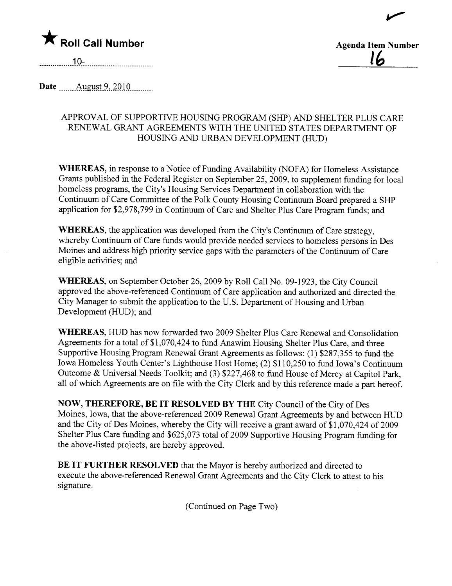

Agenda Item Number l6

 $\blacktriangleright$ 

 $10-$ 

Date m....August 9, 2010

## APPROVAL OF SUPPORTIVE HOUSING PROGRAM (SHP) AND SHELTER PLUS CARE RENEWAL GRANT AGREEMENTS WITH THE UNITED STATES DEPARTMENT OF HOUSING AND URBAN DEVELOPMENT (HUD)

WHEREAS, in response to a Notice of Funding Availability (NOFA) for Homeless Assistance Grants published in the Federal Register on September 25,2009, to supplement fuding for local homeless programs, the City's Housing Services Deparment in collaboration with the Continuum of Care Committee of the Polk County Housing Continuum Board prepared a SHP application for \$2,978,799 in Continuum of Care and Shelter Plus Care Program fuds; and

WHEREAS, the application was developed from the City's Continuum of Care strategy, whereby Continuum of Care fuds would provide needed services to homeless persons in Des Moines and address high priority service gaps with the parameters of the Continuum of Care eligible activities; and

WHEREAS, on September October 26,2009 by Roll Call No. 09-1923, the City Council approved the above-referenced Continuum of Care application and authorized and directed the City Manager to submit the application to the U.S. Deparment of Housing and Urban Development (HUD); and

WHEREAS, HUD has now forwarded two 2009 Shelter Plus Care Renewal and Consolidation Agreements for a total of \$1,070,424 to fund Anawim Housing Shelter Plus Care, and three Supportive Housing Program Renewal Grant Agreements as follows: (1) \$287,355 to fud the Iowa Homeless Youth Center's Lighthouse Host Home; (2) \$110,250 to fud Iowa's Continuum Outcome & Universal Needs Toolkit; and (3) \$227,468 to fud House of Mercy at Capitol Park, all of which Agreements are on file with the City Clerk and by this reference made a part hereof.

NOW, THEREFORE, BE IT RESOLVED BY THE City Council of the City of Des Moines, Iowa, that the above-referenced 2009 Renewal Grant Agreements by and between HUD and the City of Des Moines, whereby the City will receive a grant award of \$1,070,424 of 2009 Shelter Plus Care fuding and \$625,073 total of 2009 Supportive Housing Program fuding for the above-listed projects, are hereby approved.

BE IT FURTHER RESOLVED that the Mayor is hereby authorized and directed to execute the above-referenced Renewal Grant Agreements and the City Clerk to attest to his signature.

(Continued on Page Two)